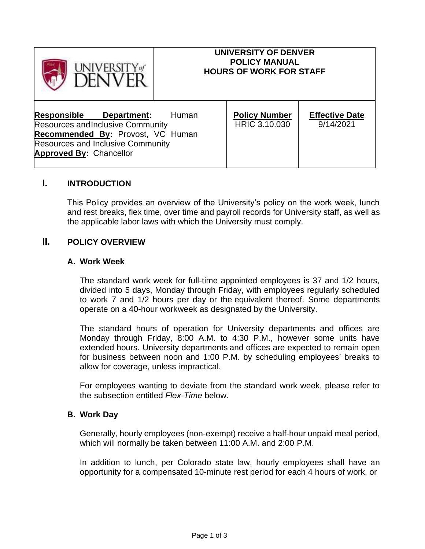| <b>JIVERSITY</b> of                                                                                                                                                                              | <b>UNIVERSITY OF DENVER</b><br><b>POLICY MANUAL</b><br><b>HOURS OF WORK FOR STAFF</b> |                                       |                                    |
|--------------------------------------------------------------------------------------------------------------------------------------------------------------------------------------------------|---------------------------------------------------------------------------------------|---------------------------------------|------------------------------------|
| <u>Responsible</u><br>Department:<br><b>Resources and Inclusive Community</b><br>Recommended By: Provost, VC Human<br><b>Resources and Inclusive Community</b><br><b>Approved By: Chancellor</b> | Human                                                                                 | <b>Policy Number</b><br>HRIC 3.10.030 | <b>Effective Date</b><br>9/14/2021 |

# **I. INTRODUCTION**

This Policy provides an overview of the University's policy on the work week, lunch and rest breaks, flex time, over time and payroll records for University staff, as well as the applicable labor laws with which the University must comply.

# **II. POLICY OVERVIEW**

#### **A. Work Week**

The standard work week for full-time appointed employees is 37 and 1/2 hours, divided into 5 days, Monday through Friday, with employees regularly scheduled to work 7 and 1/2 hours per day or the equivalent thereof. Some departments operate on a 40-hour workweek as designated by the University.

The standard hours of operation for University departments and offices are Monday through Friday, 8:00 A.M. to 4:30 P.M., however some units have extended hours. University departments and offices are expected to remain open for business between noon and 1:00 P.M. by scheduling employees' breaks to allow for coverage, unless impractical.

For employees wanting to deviate from the standard work week, please refer to the subsection entitled *Flex-Time* below.

### **B. Work Day**

Generally, hourly employees (non-exempt) receive a half-hour unpaid meal period, which will normally be taken between 11:00 A.M. and 2:00 P.M.

In addition to lunch, per Colorado state law, hourly employees shall have an opportunity for a compensated 10-minute rest period for each 4 hours of work, or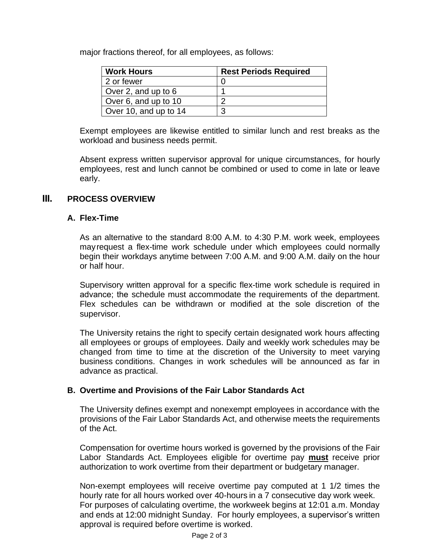major fractions thereof, for all employees, as follows:

| <b>Work Hours</b>     | <b>Rest Periods Required</b> |
|-----------------------|------------------------------|
| 2 or fewer            |                              |
| Over 2, and up to 6   |                              |
| Over 6, and up to 10  |                              |
| Over 10, and up to 14 | ാ                            |

Exempt employees are likewise entitled to similar lunch and rest breaks as the workload and business needs permit.

Absent express written supervisor approval for unique circumstances, for hourly employees, rest and lunch cannot be combined or used to come in late or leave early.

### **III. PROCESS OVERVIEW**

### **A. Flex-Time**

As an alternative to the standard 8:00 A.M. to 4:30 P.M. work week, employees mayrequest a flex-time work schedule under which employees could normally begin their workdays anytime between 7:00 A.M. and 9:00 A.M. daily on the hour or half hour.

Supervisory written approval for a specific flex-time work schedule is required in advance; the schedule must accommodate the requirements of the department. Flex schedules can be withdrawn or modified at the sole discretion of the supervisor.

The University retains the right to specify certain designated work hours affecting all employees or groups of employees. Daily and weekly work schedules may be changed from time to time at the discretion of the University to meet varying business conditions. Changes in work schedules will be announced as far in advance as practical.

### **B. Overtime and Provisions of the Fair Labor Standards Act**

The University defines exempt and nonexempt employees in accordance with the provisions of the Fair Labor Standards Act, and otherwise meets the requirements of the Act.

Compensation for overtime hours worked is governed by the provisions of the Fair Labor Standards Act. Employees eligible for overtime pay **must** receive prior authorization to work overtime from their department or budgetary manager.

Non-exempt employees will receive overtime pay computed at 1 1/2 times the hourly rate for all hours worked over 40-hours in a 7 consecutive day work week. For purposes of calculating overtime, the workweek begins at 12:01 a.m. Monday and ends at 12:00 midnight Sunday. For hourly employees, a supervisor's written approval is required before overtime is worked.